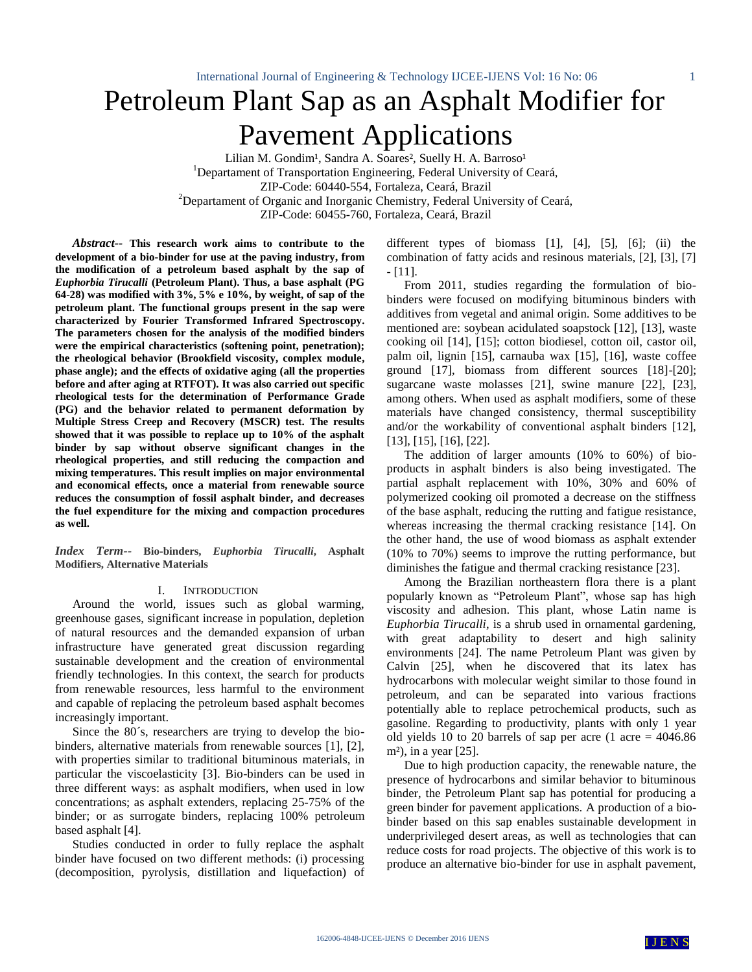# Petroleum Plant Sap as an Asphalt Modifier for Pavement Applications

Lilian M. Gondim<sup>1</sup>, Sandra A. Soares<sup>2</sup>, Suelly H. A. Barroso<sup>1</sup> <sup>1</sup>Departament of Transportation Engineering, Federal University of Ceará, ZIP-Code: 60440-554, Fortaleza, Ceará, Brazil <sup>2</sup>Departament of Organic and Inorganic Chemistry, Federal University of Ceará, ZIP-Code: 60455-760, Fortaleza, Ceará, Brazil

*Abstract--* **This research work aims to contribute to the development of a bio-binder for use at the paving industry, from the modification of a petroleum based asphalt by the sap of**  *Euphorbia Tirucalli* **(Petroleum Plant). Thus, a base asphalt (PG 64-28) was modified with 3%, 5% e 10%, by weight, of sap of the petroleum plant. The functional groups present in the sap were characterized by Fourier Transformed Infrared Spectroscopy. The parameters chosen for the analysis of the modified binders were the empirical characteristics (softening point, penetration); the rheological behavior (Brookfield viscosity, complex module, phase angle); and the effects of oxidative aging (all the properties before and after aging at RTFOT). It was also carried out specific rheological tests for the determination of Performance Grade (PG) and the behavior related to permanent deformation by Multiple Stress Creep and Recovery (MSCR) test. The results showed that it was possible to replace up to 10% of the asphalt binder by sap without observe significant changes in the rheological properties, and still reducing the compaction and mixing temperatures. This result implies on major environmental and economical effects, once a material from renewable source reduces the consumption of fossil asphalt binder, and decreases the fuel expenditure for the mixing and compaction procedures as well.** 

*Index Term--* **Bio-binders,** *Euphorbia Tirucalli***, Asphalt Modifiers, Alternative Materials**

#### I. INTRODUCTION

Around the world, issues such as global warming, greenhouse gases, significant increase in population, depletion of natural resources and the demanded expansion of urban infrastructure have generated great discussion regarding sustainable development and the creation of environmental friendly technologies. In this context, the search for products from renewable resources, less harmful to the environment and capable of replacing the petroleum based asphalt becomes increasingly important.

Since the 80´s, researchers are trying to develop the biobinders, alternative materials from renewable sources [1], [2], with properties similar to traditional bituminous materials, in particular the viscoelasticity [3]. Bio-binders can be used in three different ways: as asphalt modifiers, when used in low concentrations; as asphalt extenders, replacing 25-75% of the binder; or as surrogate binders, replacing 100% petroleum based asphalt [4].

Studies conducted in order to fully replace the asphalt binder have focused on two different methods: (i) processing (decomposition, pyrolysis, distillation and liquefaction) of different types of biomass [1], [4], [5], [6]; (ii) the combination of fatty acids and resinous materials, [2], [3], [7] - [11].

From 2011, studies regarding the formulation of biobinders were focused on modifying bituminous binders with additives from vegetal and animal origin. Some additives to be mentioned are: soybean acidulated soapstock [12], [13], waste cooking oil [14], [15]; cotton biodiesel, cotton oil, castor oil, palm oil, lignin [15], carnauba wax [15], [16], waste coffee ground [17], biomass from different sources [18]-[20]; sugarcane waste molasses [21], swine manure [22], [23], among others. When used as asphalt modifiers, some of these materials have changed consistency, thermal susceptibility and/or the workability of conventional asphalt binders [12], [13], [15], [16], [22].

The addition of larger amounts (10% to 60%) of bioproducts in asphalt binders is also being investigated. The partial asphalt replacement with 10%, 30% and 60% of polymerized cooking oil promoted a decrease on the stiffness of the base asphalt, reducing the rutting and fatigue resistance, whereas increasing the thermal cracking resistance [14]. On the other hand, the use of wood biomass as asphalt extender (10% to 70%) seems to improve the rutting performance, but diminishes the fatigue and thermal cracking resistance [23].

Among the Brazilian northeastern flora there is a plant popularly known as "Petroleum Plant", whose sap has high viscosity and adhesion. This plant, whose Latin name is *Euphorbia Tirucalli*, is a shrub used in ornamental gardening, with great adaptability to desert and high salinity environments [24]. The name Petroleum Plant was given by Calvin [25], when he discovered that its latex has hydrocarbons with molecular weight similar to those found in petroleum, and can be separated into various fractions potentially able to replace petrochemical products, such as gasoline. Regarding to productivity, plants with only 1 year old yields 10 to 20 barrels of sap per acre (1 acre  $= 4046.86$ ) m<sup>2</sup>), in a year  $[25]$ .

Due to high production capacity, the renewable nature, the presence of hydrocarbons and similar behavior to bituminous binder, the Petroleum Plant sap has potential for producing a green binder for pavement applications. A production of a biobinder based on this sap enables sustainable development in underprivileged desert areas, as well as technologies that can reduce costs for road projects. The objective of this work is to produce an alternative bio-binder for use in asphalt pavement,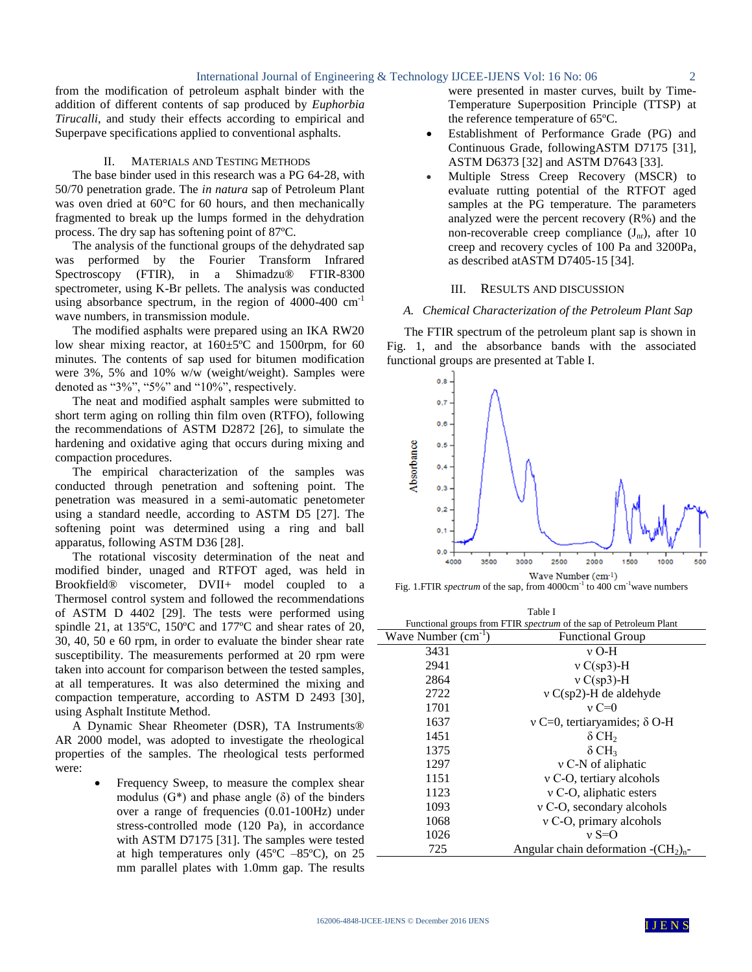from the modification of petroleum asphalt binder with the addition of different contents of sap produced by *Euphorbia Tirucalli*, and study their effects according to empirical and Superpave specifications applied to conventional asphalts.

#### II. MATERIALS AND TESTING METHODS

The base binder used in this research was a PG 64-28, with 50/70 penetration grade. The *in natura* sap of Petroleum Plant was oven dried at 60°C for 60 hours, and then mechanically fragmented to break up the lumps formed in the dehydration process. The dry sap has softening point of 87ºC.

The analysis of the functional groups of the dehydrated sap was performed by the Fourier Transform Infrared Spectroscopy (FTIR), in a Shimadzu<sup>®</sup> FTIR-8300 spectrometer, using K-Br pellets. The analysis was conducted using absorbance spectrum, in the region of  $4000-400$  cm<sup>-1</sup> wave numbers, in transmission module.

The modified asphalts were prepared using an IKA RW20 low shear mixing reactor, at 160±5ºC and 1500rpm, for 60 minutes. The contents of sap used for bitumen modification were 3%, 5% and 10% w/w (weight/weight). Samples were denoted as "3%", "5%" and "10%", respectively.

The neat and modified asphalt samples were submitted to short term aging on rolling thin film oven (RTFO), following the recommendations of ASTM D2872 [26], to simulate the hardening and oxidative aging that occurs during mixing and compaction procedures.

The empirical characterization of the samples was conducted through penetration and softening point. The penetration was measured in a semi-automatic penetometer using a standard needle, according to ASTM D5 [27]. The softening point was determined using a ring and ball apparatus, following ASTM D36 [28].

The rotational viscosity determination of the neat and modified binder, unaged and RTFOT aged, was held in Brookfield® viscometer, DVII+ model coupled to a Thermosel control system and followed the recommendations of ASTM D 4402 [29]. The tests were performed using spindle 21, at 135ºC, 150ºC and 177ºC and shear rates of 20, 30, 40, 50 e 60 rpm, in order to evaluate the binder shear rate susceptibility. The measurements performed at 20 rpm were taken into account for comparison between the tested samples, at all temperatures. It was also determined the mixing and compaction temperature, according to ASTM D 2493 [30], using Asphalt Institute Method.

A Dynamic Shear Rheometer (DSR), TA Instruments® AR 2000 model, was adopted to investigate the rheological properties of the samples. The rheological tests performed were:

> Frequency Sweep, to measure the complex shear modulus  $(G^*)$  and phase angle  $(\delta)$  of the binders over a range of frequencies (0.01-100Hz) under stress-controlled mode (120 Pa), in accordance with ASTM D7175 [31]. The samples were tested at high temperatures only  $(45^{\circ}C - 85^{\circ}C)$ , on 25 mm parallel plates with 1.0mm gap. The results

were presented in master curves, built by Time-Temperature Superposition Principle (TTSP) at the reference temperature of 65ºC.

- Establishment of Performance Grade (PG) and Continuous Grade, followingASTM D7175 [31], ASTM D6373 [32] and ASTM D7643 [33].
- Multiple Stress Creep Recovery (MSCR) to evaluate rutting potential of the RTFOT aged samples at the PG temperature. The parameters analyzed were the percent recovery (R%) and the non-recoverable creep compliance  $(J_{nr})$ , after 10 creep and recovery cycles of 100 Pa and 3200Pa, as described atASTM D7405-15 [34].

## III. RESULTS AND DISCUSSION

## *A. Chemical Characterization of the Petroleum Plant Sap*

The FTIR spectrum of the petroleum plant sap is shown in Fig. 1, and the absorbance bands with the associated functional groups are presented at Table I.



Fig. 1. FTIR *spectrum* of the sap, from 4000cm<sup>-1</sup> to 400 cm<sup>-1</sup>wave numbers

| Table I                 |                                                                           |  |  |  |  |
|-------------------------|---------------------------------------------------------------------------|--|--|--|--|
|                         | Functional groups from FTIR <i>spectrum</i> of the sap of Petroleum Plant |  |  |  |  |
| Wave Number $(cm^{-1})$ | <b>Functional Group</b>                                                   |  |  |  |  |
| 3431                    | v O-H                                                                     |  |  |  |  |
| 2941                    | $v \text{ C(sp3)}-H$                                                      |  |  |  |  |
| 2864                    | $v \text{ C(sp3)}$ -H                                                     |  |  |  |  |
| 2722                    | $v C(sp2)$ -H de aldehyde                                                 |  |  |  |  |
| 1701                    | $v = 0$                                                                   |  |  |  |  |
| 1637                    | $v = 0$ , tertiaryamides; $\delta$ O-H                                    |  |  |  |  |
| 1451                    | $\delta$ CH <sub>2</sub>                                                  |  |  |  |  |
| 1375                    | $\delta$ CH <sub>3</sub>                                                  |  |  |  |  |
| 1297                    | v C-N of aliphatic                                                        |  |  |  |  |
| 1151                    | $v$ C-O, tertiary alcohols                                                |  |  |  |  |
| 1123                    | v C-O, aliphatic esters                                                   |  |  |  |  |
| 1093                    | v C-O, secondary alcohols                                                 |  |  |  |  |
| 1068                    | $v \text{C-O}$ , primary alcohols                                         |  |  |  |  |
| 1026                    | $v S=0$                                                                   |  |  |  |  |
| 725                     | Angular chain deformation $-(CH_2)_{n}$ -                                 |  |  |  |  |

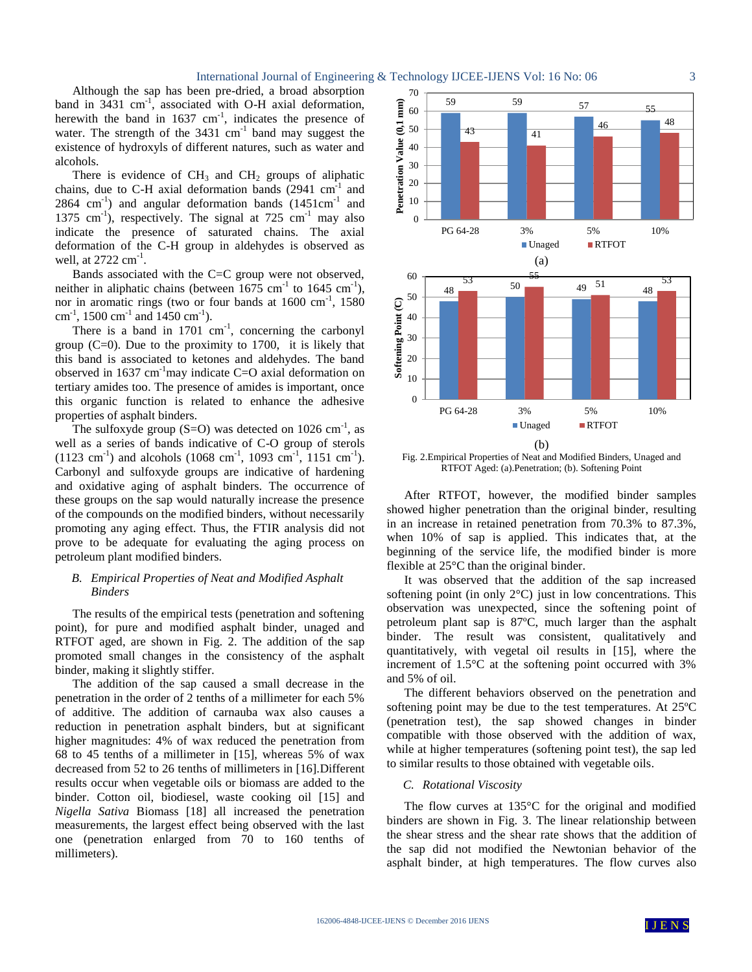Although the sap has been pre-dried, a broad absorption band in  $3431 \text{ cm}^{-1}$ , associated with O-H axial deformation, herewith the band in  $1637 \text{ cm}^{-1}$ , indicates the presence of water. The strength of the  $3431 \text{ cm}^{-1}$  band may suggest the existence of hydroxyls of different natures, such as water and alcohols.

There is evidence of  $CH_3$  and  $CH_2$  groups of aliphatic chains, due to C-H axial deformation bands  $(2941 \text{ cm}^{-1})$  and  $2864 \text{ cm}^{-1}$ ) and angular deformation bands  $(1451 \text{cm}^{-1})$  and 1375 cm<sup>-1</sup>), respectively. The signal at  $725 \text{ cm}^{-1}$  may also indicate the presence of saturated chains. The axial deformation of the C-H group in aldehydes is observed as well, at  $2722 \text{ cm}^{-1}$ .

Bands associated with the C=C group were not observed, neither in aliphatic chains (between  $1675 \text{ cm}^{-1}$  to  $1645 \text{ cm}^{-1}$ ), nor in aromatic rings (two or four bands at 1600 cm<sup>-1</sup>, 1580 cm<sup>-1</sup>, 1500 cm<sup>-1</sup> and 1450 cm<sup>-1</sup>).

There is a band in  $1701 \text{ cm}^{-1}$ , concerning the carbonyl group  $(C=0)$ . Due to the proximity to 1700, it is likely that this band is associated to ketones and aldehydes. The band observed in  $1637 \text{ cm}^{-1}$  may indicate C=O axial deformation on tertiary amides too. The presence of amides is important, once this organic function is related to enhance the adhesive properties of asphalt binders.

The sulfoxyde group  $(S=O)$  was detected on 1026 cm<sup>-1</sup>, as well as a series of bands indicative of C-O group of sterols  $(1123 \text{ cm}^{-1})$  and alcohols  $(1068 \text{ cm}^{-1}, 1093 \text{ cm}^{-1}, 1151 \text{ cm}^{-1})$ . Carbonyl and sulfoxyde groups are indicative of hardening and oxidative aging of asphalt binders. The occurrence of these groups on the sap would naturally increase the presence of the compounds on the modified binders, without necessarily promoting any aging effect. Thus, the FTIR analysis did not prove to be adequate for evaluating the aging process on petroleum plant modified binders.

# *B. Empirical Properties of Neat and Modified Asphalt Binders*

The results of the empirical tests (penetration and softening point), for pure and modified asphalt binder, unaged and RTFOT aged, are shown in Fig. 2. The addition of the sap promoted small changes in the consistency of the asphalt binder, making it slightly stiffer.

The addition of the sap caused a small decrease in the penetration in the order of 2 tenths of a millimeter for each 5% of additive. The addition of carnauba wax also causes a reduction in penetration asphalt binders, but at significant higher magnitudes: 4% of wax reduced the penetration from 68 to 45 tenths of a millimeter in [15], whereas 5% of wax decreased from 52 to 26 tenths of millimeters in [16].Different results occur when vegetable oils or biomass are added to the binder. Cotton oil, biodiesel, waste cooking oil [15] and *Nigella Sativa* Biomass [18] all increased the penetration measurements, the largest effect being observed with the last one (penetration enlarged from 70 to 160 tenths of millimeters).



Fig. 2.Empirical Properties of Neat and Modified Binders, Unaged and RTFOT Aged: (a).Penetration; (b). Softening Point

After RTFOT, however, the modified binder samples showed higher penetration than the original binder, resulting in an increase in retained penetration from 70.3% to 87.3%, when 10% of sap is applied. This indicates that, at the beginning of the service life, the modified binder is more flexible at 25°C than the original binder.

It was observed that the addition of the sap increased softening point (in only 2°C) just in low concentrations. This observation was unexpected, since the softening point of petroleum plant sap is 87ºC, much larger than the asphalt binder. The result was consistent, qualitatively and quantitatively, with vegetal oil results in [15], where the increment of 1.5°C at the softening point occurred with 3% and 5% of oil.

The different behaviors observed on the penetration and softening point may be due to the test temperatures. At 25ºC (penetration test), the sap showed changes in binder compatible with those observed with the addition of wax, while at higher temperatures (softening point test), the sap led to similar results to those obtained with vegetable oils.

# *C. Rotational Viscosity*

The flow curves at 135°C for the original and modified binders are shown in Fig. 3. The linear relationship between the shear stress and the shear rate shows that the addition of the sap did not modified the Newtonian behavior of the asphalt binder, at high temperatures. The flow curves also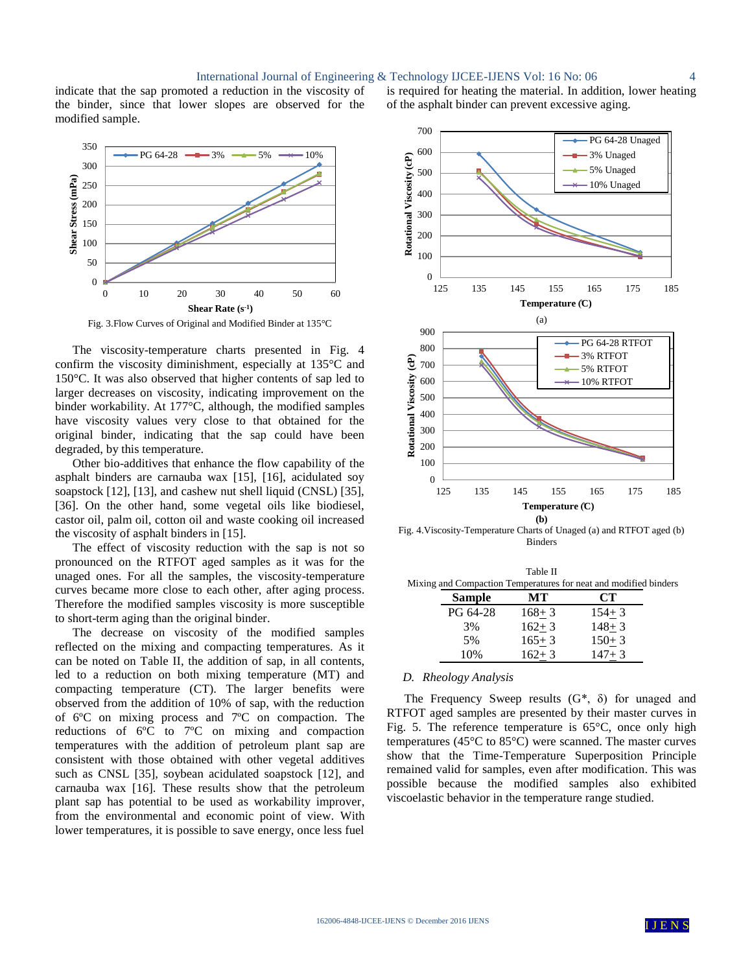#### International Journal of Engineering & Technology IJCEE-IJENS Vol: 16 No: 06 4

indicate that the sap promoted a reduction in the viscosity of the binder, since that lower slopes are observed for the modified sample.



Fig. 3.Flow Curves of Original and Modified Binder at 135°C

The viscosity-temperature charts presented in Fig. 4 confirm the viscosity diminishment, especially at 135°C and 150°C. It was also observed that higher contents of sap led to larger decreases on viscosity, indicating improvement on the binder workability. At 177°C, although, the modified samples have viscosity values very close to that obtained for the original binder, indicating that the sap could have been degraded, by this temperature.

Other bio-additives that enhance the flow capability of the asphalt binders are carnauba wax [15], [16], acidulated soy soapstock [12], [13], and cashew nut shell liquid (CNSL) [35], [36]. On the other hand, some vegetal oils like biodiesel, castor oil, palm oil, cotton oil and waste cooking oil increased the viscosity of asphalt binders in [15].

The effect of viscosity reduction with the sap is not so pronounced on the RTFOT aged samples as it was for the unaged ones. For all the samples, the viscosity-temperature curves became more close to each other, after aging process. Therefore the modified samples viscosity is more susceptible to short-term aging than the original binder.

The decrease on viscosity of the modified samples reflected on the mixing and compacting temperatures. As it can be noted on Table II, the addition of sap, in all contents, led to a reduction on both mixing temperature (MT) and compacting temperature (CT). The larger benefits were observed from the addition of 10% of sap, with the reduction of 6ºC on mixing process and 7ºC on compaction. The reductions of 6ºC to 7ºC on mixing and compaction temperatures with the addition of petroleum plant sap are consistent with those obtained with other vegetal additives such as CNSL [35], soybean acidulated soapstock [12], and carnauba wax [16]. These results show that the petroleum plant sap has potential to be used as workability improver, from the environmental and economic point of view. With lower temperatures, it is possible to save energy, once less fuel



is required for heating the material. In addition, lower heating

of the asphalt binder can prevent excessive aging.

Fig. 4.Viscosity-Temperature Charts of Unaged (a) and RTFOT aged (b) Binders

| Table II                                                         |
|------------------------------------------------------------------|
| Mixing and Compaction Temperatures for neat and modified binders |

| Sample   | MТ        | CT        |
|----------|-----------|-----------|
| PG 64-28 | $168 + 3$ | $154 + 3$ |
| 3%       | $162 + 3$ | $148 + 3$ |
| 5%       | $165 + 3$ | $150+3$   |
| 10%      | $162 + 3$ | $147 + 3$ |

# *D. Rheology Analysis*

The Frequency Sweep results  $(G^*, \delta)$  for unaged and RTFOT aged samples are presented by their master curves in Fig. 5. The reference temperature is  $65^{\circ}$ C, once only high temperatures (45°C to 85°C) were scanned. The master curves show that the Time-Temperature Superposition Principle remained valid for samples, even after modification. This was possible because the modified samples also exhibited viscoelastic behavior in the temperature range studied.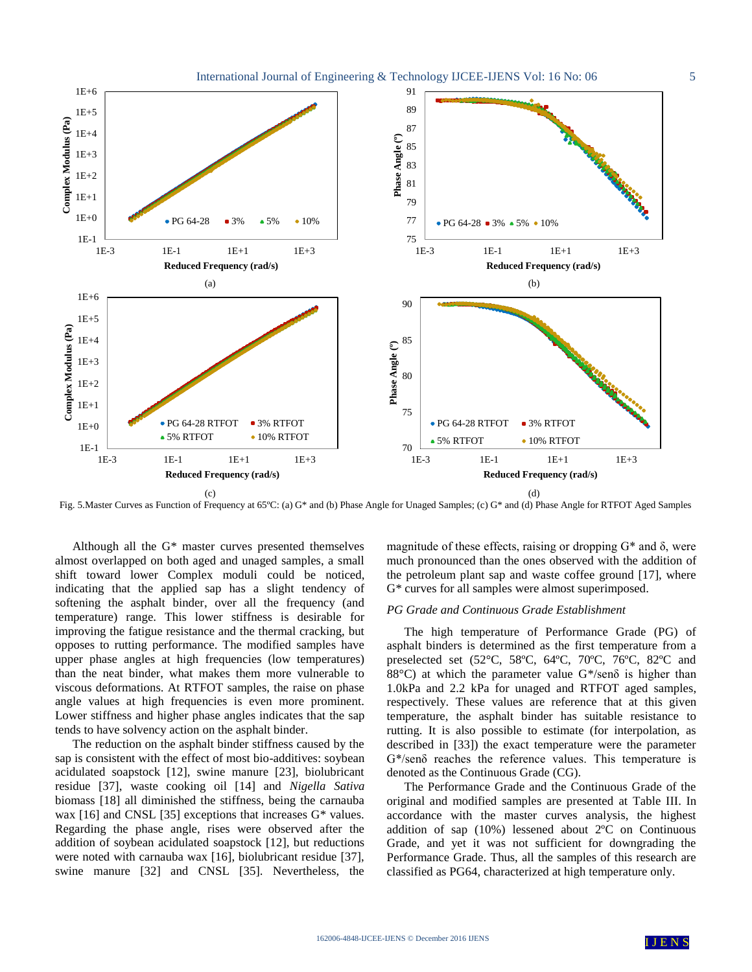

Fig. 5.Master Curves as Function of Frequency at 65ºC: (a) G\* and (b) Phase Angle for Unaged Samples; (c) G\* and (d) Phase Angle for RTFOT Aged Samples

Although all the G\* master curves presented themselves almost overlapped on both aged and unaged samples, a small shift toward lower Complex moduli could be noticed, indicating that the applied sap has a slight tendency of softening the asphalt binder, over all the frequency (and temperature) range. This lower stiffness is desirable for improving the fatigue resistance and the thermal cracking, but opposes to rutting performance. The modified samples have upper phase angles at high frequencies (low temperatures) than the neat binder, what makes them more vulnerable to viscous deformations. At RTFOT samples, the raise on phase angle values at high frequencies is even more prominent. Lower stiffness and higher phase angles indicates that the sap tends to have solvency action on the asphalt binder.

The reduction on the asphalt binder stiffness caused by the sap is consistent with the effect of most bio-additives: soybean acidulated soapstock [12], swine manure [23], biolubricant residue [37], waste cooking oil [14] and *Nigella Sativa* biomass [18] all diminished the stiffness, being the carnauba wax [16] and CNSL [35] exceptions that increases G\* values. Regarding the phase angle, rises were observed after the addition of soybean acidulated soapstock [12], but reductions were noted with carnauba wax [16], biolubricant residue [37], swine manure [32] and CNSL [35]. Nevertheless, the magnitude of these effects, raising or dropping  $G^*$  and  $\delta$ , were much pronounced than the ones observed with the addition of the petroleum plant sap and waste coffee ground [17], where G\* curves for all samples were almost superimposed.

## *PG Grade and Continuous Grade Establishment*

The high temperature of Performance Grade (PG) of asphalt binders is determined as the first temperature from a preselected set (52°C, 58ºC, 64ºC, 70ºC, 76ºC, 82ºC and 88°C) at which the parameter value G\*/senδ is higher than 1.0kPa and 2.2 kPa for unaged and RTFOT aged samples, respectively. These values are reference that at this given temperature, the asphalt binder has suitable resistance to rutting. It is also possible to estimate (for interpolation, as described in [33]) the exact temperature were the parameter G\*/senδ reaches the reference values. This temperature is denoted as the Continuous Grade (CG).

The Performance Grade and the Continuous Grade of the original and modified samples are presented at Table III. In accordance with the master curves analysis, the highest addition of sap (10%) lessened about 2ºC on Continuous Grade, and yet it was not sufficient for downgrading the Performance Grade. Thus, all the samples of this research are classified as PG64, characterized at high temperature only.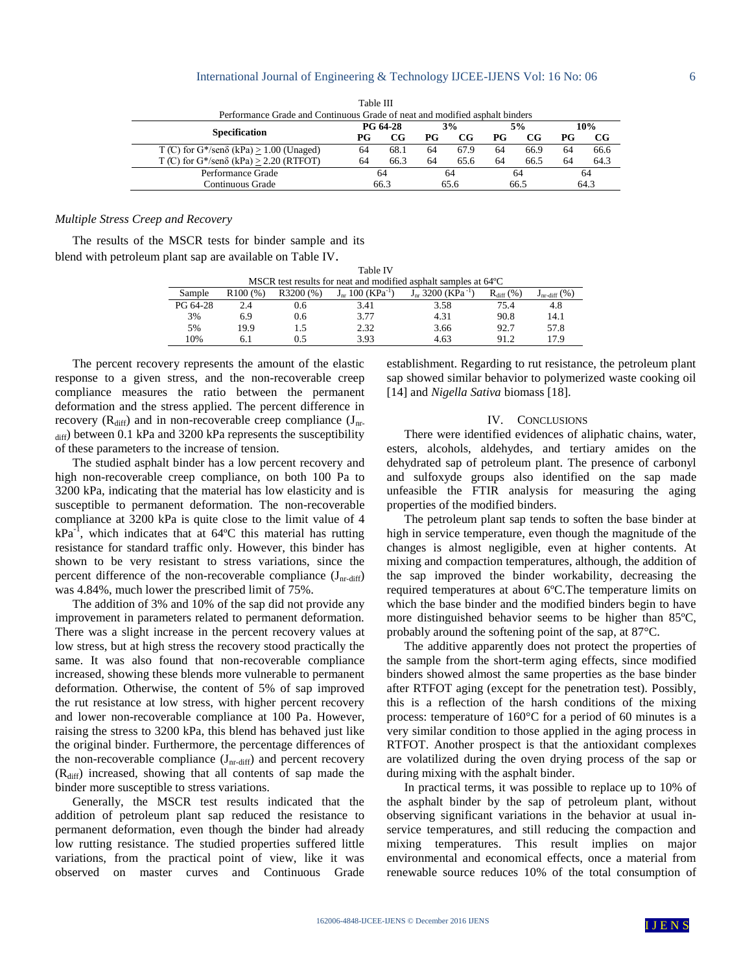#### International Journal of Engineering & Technology IJCEE-IJENS Vol: 16 No: 06 6

|                                                                             | .        |             |      |             |      |      |      |      |
|-----------------------------------------------------------------------------|----------|-------------|------|-------------|------|------|------|------|
| Performance Grade and Continuous Grade of neat and modified asphalt binders |          |             |      |             |      |      |      |      |
|                                                                             | PG 64-28 |             | 3%   |             | 5%   |      | 10%  |      |
| <b>Specification</b>                                                        | РG       | $_{\rm CG}$ | PG   | $_{\rm CG}$ | PG   | CG   | РG   | CG   |
| T (C) for $G^*$ /sen $\delta$ (kPa) > 1.00 (Unaged)                         | 64       | 68.1        | 64   | 67.9        | 64   | 66.9 | 64   | 66.6 |
| T (C) for $G^*$ /sen $\delta$ (kPa) > 2.20 (RTFOT)                          | 64       | 66.3        | 64   | 65.6        | 64   | 66.5 | 64   | 64.3 |
| Performance Grade                                                           | 64       |             | 64   |             | 64   |      | 64   |      |
| Continuous Grade                                                            | 66.3     |             | 65.6 |             | 66.5 |      | 64.3 |      |

Table III

## *Multiple Stress Creep and Recovery*

The results of the MSCR tests for binder sample and its blend with petroleum plant sap are available on Table IV.

| <b>Table IV</b>                                                           |         |          |                                   |                                           |                |                          |  |  |
|---------------------------------------------------------------------------|---------|----------|-----------------------------------|-------------------------------------------|----------------|--------------------------|--|--|
| MSCR test results for neat and modified asphalt samples at $64^{\circ}$ C |         |          |                                   |                                           |                |                          |  |  |
| Sample                                                                    | R100(%) | R3200(%) | $J_{nr}$ 100 (KPa <sup>-1</sup> ) | $J_{\text{nr}}$ 3200 (KPa <sup>-1</sup> ) | $R_{diff}$ (%) | $J_{nr\text{-diff}}(\%)$ |  |  |
| PG 64-28                                                                  | 2.4     | 0.6      | 3.41                              | 3.58                                      | 75.4           | 4.8                      |  |  |
| 3%                                                                        | 6.9     | 0.6      | 3.77                              | 4.31                                      | 90.8           | 14.1                     |  |  |
| 5%                                                                        | 19.9    | 1.5      | 2.32                              | 3.66                                      | 92.7           | 57.8                     |  |  |
| 10%                                                                       | 6. I    |          | 3.93                              | 4.63                                      | 91.2           | 17.9                     |  |  |

The percent recovery represents the amount of the elastic response to a given stress, and the non-recoverable creep compliance measures the ratio between the permanent deformation and the stress applied. The percent difference in recovery  $(R<sub>diff</sub>)$  and in non-recoverable creep compliance  $(J<sub>nr</sub>$  $_{diff}$ ) between 0.1 kPa and 3200 kPa represents the susceptibility of these parameters to the increase of tension.

The studied asphalt binder has a low percent recovery and high non-recoverable creep compliance, on both 100 Pa to 3200 kPa, indicating that the material has low elasticity and is susceptible to permanent deformation. The non-recoverable compliance at 3200 kPa is quite close to the limit value of 4  $kPa^{-1}$ , which indicates that at 64 °C this material has rutting resistance for standard traffic only. However, this binder has shown to be very resistant to stress variations, since the percent difference of the non-recoverable compliance  $(J_{nr\text{-diff}})$ was 4.84%, much lower the prescribed limit of 75%.

The addition of 3% and 10% of the sap did not provide any improvement in parameters related to permanent deformation. There was a slight increase in the percent recovery values at low stress, but at high stress the recovery stood practically the same. It was also found that non-recoverable compliance increased, showing these blends more vulnerable to permanent deformation. Otherwise, the content of 5% of sap improved the rut resistance at low stress, with higher percent recovery and lower non-recoverable compliance at 100 Pa. However, raising the stress to 3200 kPa, this blend has behaved just like the original binder. Furthermore, the percentage differences of the non-recoverable compliance  $(J_{nr\text{-diff}})$  and percent recovery  $(R<sub>diff</sub>)$  increased, showing that all contents of sap made the binder more susceptible to stress variations.

Generally, the MSCR test results indicated that the addition of petroleum plant sap reduced the resistance to permanent deformation, even though the binder had already low rutting resistance. The studied properties suffered little variations, from the practical point of view, like it was observed on master curves and Continuous Grade establishment. Regarding to rut resistance, the petroleum plant sap showed similar behavior to polymerized waste cooking oil [14] and *Nigella Sativa* biomass [18].

## IV. CONCLUSIONS

There were identified evidences of aliphatic chains, water, esters, alcohols, aldehydes, and tertiary amides on the dehydrated sap of petroleum plant. The presence of carbonyl and sulfoxyde groups also identified on the sap made unfeasible the FTIR analysis for measuring the aging properties of the modified binders.

The petroleum plant sap tends to soften the base binder at high in service temperature, even though the magnitude of the changes is almost negligible, even at higher contents. At mixing and compaction temperatures, although, the addition of the sap improved the binder workability, decreasing the required temperatures at about 6ºC.The temperature limits on which the base binder and the modified binders begin to have more distinguished behavior seems to be higher than 85ºC, probably around the softening point of the sap, at 87°C.

The additive apparently does not protect the properties of the sample from the short-term aging effects, since modified binders showed almost the same properties as the base binder after RTFOT aging (except for the penetration test). Possibly, this is a reflection of the harsh conditions of the mixing process: temperature of 160°C for a period of 60 minutes is a very similar condition to those applied in the aging process in RTFOT. Another prospect is that the antioxidant complexes are volatilized during the oven drying process of the sap or during mixing with the asphalt binder.

In practical terms, it was possible to replace up to 10% of the asphalt binder by the sap of petroleum plant, without observing significant variations in the behavior at usual inservice temperatures, and still reducing the compaction and mixing temperatures. This result implies on major environmental and economical effects, once a material from renewable source reduces 10% of the total consumption of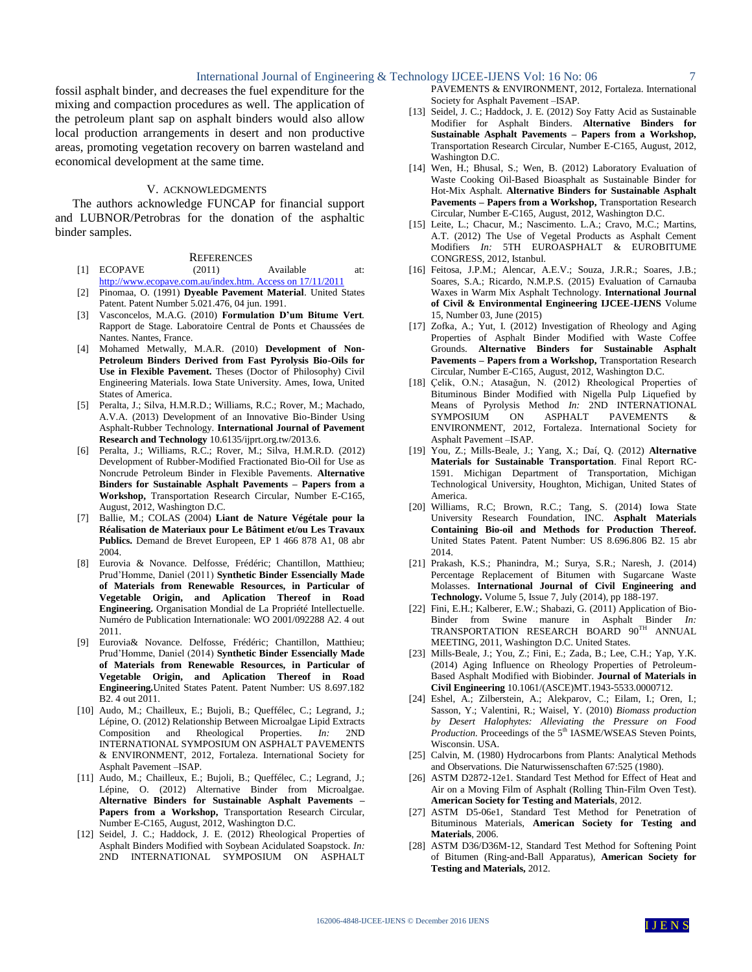fossil asphalt binder, and decreases the fuel expenditure for the mixing and compaction procedures as well. The application of the petroleum plant sap on asphalt binders would also allow local production arrangements in desert and non productive areas, promoting vegetation recovery on barren wasteland and economical development at the same time.

# V. ACKNOWLEDGMENTS

The authors acknowledge FUNCAP for financial support and LUBNOR/Petrobras for the donation of the asphaltic binder samples.

#### **REFERENCES**

- [1] ECOPAVE (2011) Available at: [http://www.ecopave.com.au/index.htm. Access on 17/11/2011](http://www.ecopave.com.au/index.htm.%20Access%20on%2017/11/2011)
- [2] Pinomaa, O. (1991) **Dyeable Pavement Material**. United States Patent. Patent Number 5.021.476, 04 jun. 1991.
- [3] Vasconcelos, M.A.G. (2010) **Formulation D'um Bitume Vert***.* Rapport de Stage. Laboratoire Central de Ponts et Chaussées de Nantes. Nantes, France.
- [4] Mohamed Metwally, M.A.R. (2010) **Development of Non-Petroleum Binders Derived from Fast Pyrolysis Bio-Oils for Use in Flexible Pavement.** Theses (Doctor of Philosophy) Civil Engineering Materials. Iowa State University. Ames, Iowa, United States of America.
- [5] Peralta, J.; Silva, H.M.R.D.; Williams, R.C.; Rover, M.; Machado, A.V.A. (2013) Development of an Innovative Bio-Binder Using Asphalt-Rubber Technology. **International Journal of Pavement Research and Technology** 10.6135/ijprt.org.tw/2013.6.
- [6] Peralta, J.; Williams, R.C.; Rover, M.; Silva, H.M.R.D. (2012) Development of Rubber-Modified Fractionated Bio-Oil for Use as Noncrude Petroleum Binder in Flexible Pavements. **Alternative Binders for Sustainable Asphalt Pavements – Papers from a Workshop,** Transportation Research Circular, Number E-C165, August, 2012, Washington D.C.
- [7] Ballie, M.; COLAS (2004) **Liant de Nature Végétale pour la Réalisation de Materiaux pour Le Bâtiment et/ou Les Travaux Publics.** Demand de Brevet Europeen, EP 1 466 878 A1, 08 abr 2004.
- [8] Eurovia & Novance. Delfosse, Frédéric; Chantillon, Matthieu; Prud'Homme, Daniel (2011) **Synthetic Binder Essencially Made of Materials from Renewable Resources, in Particular of Vegetable Origin, and Aplication Thereof in Road Engineering.** Organisation Mondial de La Propriété Intellectuelle. Numéro de Publication Internationale: WO 2001/092288 A2. 4 out 2011.
- [9] Eurovia& Novance. Delfosse, Frédéric; Chantillon, Matthieu; Prud'Homme, Daniel (2014) **Synthetic Binder Essencially Made of Materials from Renewable Resources, in Particular of Vegetable Origin, and Aplication Thereof in Road Engineering.**United States Patent. Patent Number: US 8.697.182 B2. 4 out 2011.
- [10] Audo, M.; Chailleux, E.; Bujoli, B.; Queffélec, C.; Legrand, J.; Lépine, O. (2012) Relationship Between Microalgae Lipid Extracts Composition and Rheological Properties. *In:* 2ND INTERNATIONAL SYMPOSIUM ON ASPHALT PAVEMENTS & ENVIRONMENT, 2012, Fortaleza. International Society for Asphalt Pavement –ISAP.
- [11] Audo, M.; Chailleux, E.; Bujoli, B.; Queffélec, C.; Legrand, J.; Lépine, O. (2012) Alternative Binder from Microalgae. **Alternative Binders for Sustainable Asphalt Pavements – Papers from a Workshop,** Transportation Research Circular, Number E-C165, August, 2012, Washington D.C.
- [12] Seidel, J. C.; Haddock, J. E. (2012) Rheological Properties of Asphalt Binders Modified with Soybean Acidulated Soapstock. *In:*  2ND INTERNATIONAL SYMPOSIUM ON ASPHALT
- PAVEMENTS & ENVIRONMENT, 2012, Fortaleza. International Society for Asphalt Pavement –ISAP.
- [13] Seidel, J. C.; Haddock, J. E. (2012) Soy Fatty Acid as Sustainable Modifier for Asphalt Binders. **Alternative Binders for Sustainable Asphalt Pavements – Papers from a Workshop,** Transportation Research Circular, Number E-C165, August, 2012, Washington D.C.
- [14] Wen, H.; Bhusal, S.; Wen, B. (2012) Laboratory Evaluation of Waste Cooking Oil-Based Bioasphalt as Sustainable Binder for Hot-Mix Asphalt. **Alternative Binders for Sustainable Asphalt Pavements – Papers from a Workshop,** Transportation Research Circular, Number E-C165, August, 2012, Washington D.C.
- [15] Leite, L.; Chacur, M.; Nascimento. L.A.; Cravo, M.C.; Martins, A.T. (2012) The Use of Vegetal Products as Asphalt Cement Modifiers *In:* 5TH EUROASPHALT & EUROBITUME CONGRESS, 2012, Istanbul.
- [16] Feitosa, J.P.M.; Alencar, A.E.V.; Souza, J.R.R.; Soares, J.B.; Soares, S.A.; Ricardo, N.M.P.S. (2015) Evaluation of Carnauba Waxes in Warm Mix Asphalt Technology. **International Journal of Civil & Environmental Engineering IJCEE-IJENS** Volume 15, Number 03, June (2015)
- [17] Zofka, A.; Yut, I. (2012) Investigation of Rheology and Aging Properties of Asphalt Binder Modified with Waste Coffee Grounds. **Alternative Binders for Sustainable Asphalt Pavements – Papers from a Workshop,** Transportation Research Circular, Number E-C165, August, 2012, Washington D.C.
- [18] Celik, O.N.; Atasağun, N. (2012) Rheological Properties of Bituminous Binder Modified with Nigella Pulp Liquefied by Means of Pyrolysis Method *In:* 2ND INTERNATIONAL<br>SYMPOSIUM ON ASPHALT PAVEMENTS & SYMPOSIUM ON ASPHALT PAVEMENTS & ENVIRONMENT, 2012, Fortaleza. International Society for Asphalt Pavement –ISAP.
- [19] You, Z.; Mills-Beale, J.; Yang, X.; Daí, Q. (2012) **Alternative Materials for Sustainable Transportation**. Final Report RC-1591. Michigan Department of Transportation, Michigan Technological University, Houghton, Michigan, United States of America.
- [20] Williams, R.C; Brown, R.C.; Tang, S. (2014) Iowa State University Research Foundation, INC. **Asphalt Materials Containing Bio-oil and Methods for Production Thereof.**  United States Patent. Patent Number: US 8.696.806 B2. 15 abr 2014.
- [21] Prakash, K.S.; Phanindra, M.; Surya, S.R.; Naresh, J. (2014) Percentage Replacement of Bitumen with Sugarcane Waste Molasses. **International Journal of Civil Engineering and Technology.** Volume 5, Issue 7, July (2014), pp 188-197.
- [22] Fini, E.H.; Kalberer, E.W.; Shabazi, G. (2011) Application of Bio-Binder from Swine manure in Asphalt Binder *In:*  TRANSPORTATION RESEARCH BOARD 90TH ANNUAL MEETING, 2011, Washington D.C. United States.
- [23] Mills-Beale, J.; You, Z.; Fini, E.; Zada, B.; Lee, C.H.; Yap, Y.K. (2014) Aging Influence on Rheology Properties of Petroleum-Based Asphalt Modified with Biobinder. **Journal of Materials in Civil Engineering** 10.1061/(ASCE)MT.1943-5533.0000712.
- [24] Eshel, A.; Zilberstein, A.; Alekparov, C.; Eilam, I.; Oren, I.; Sasson, Y.; Valentini, R.; Waisel, Y. (2010) *Biomass production by Desert Halophytes: Alleviating the Pressure on Food Production.* Proceedings of the 5<sup>th</sup> IASME/WSEAS Steven Points, Wisconsin. USA.
- [25] Calvin, M. (1980) Hydrocarbons from Plants: Analytical Methods and Observations. Die Naturwissenschaften 67:525 (1980).
- [26] ASTM D2872-12e1. Standard Test Method for Effect of Heat and Air on a Moving Film of Asphalt (Rolling Thin-Film Oven Test). **American Society for Testing and Materials**, 2012.
- [27] ASTM D5-06e1, Standard Test Method for Penetration of Bituminous Materials, **American Society for Testing and Materials**, 2006.
- [28] ASTM D36/D36M-12, Standard Test Method for Softening Point of Bitumen (Ring-and-Ball Apparatus), **American Society for Testing and Materials,** 2012.